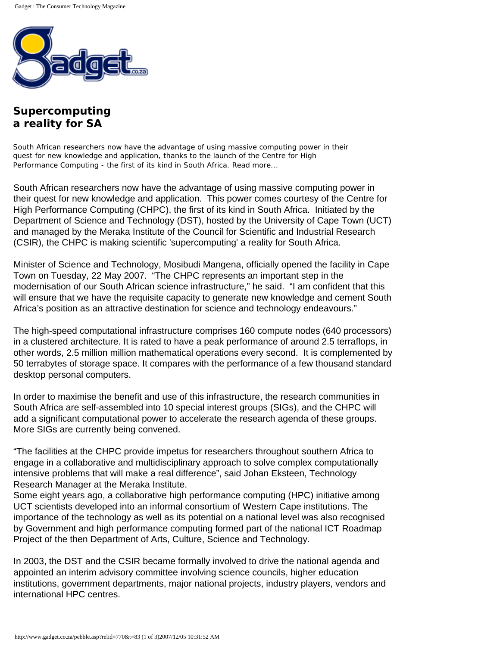

## **Supercomputing a reality for SA**

South African researchers now have the advantage of using massive computing power in their quest for new knowledge and application, thanks to the launch of the Centre for High Performance Computing - the first of its kind in South Africa. Read more...

South African researchers now have the advantage of using massive computing power in their quest for new knowledge and application. This power comes courtesy of the Centre for High Performance Computing (CHPC), the first of its kind in South Africa. Initiated by the Department of Science and Technology (DST), hosted by the University of Cape Town (UCT) and managed by the Meraka Institute of the Council for Scientific and Industrial Research (CSIR), the CHPC is making scientific 'supercomputing' a reality for South Africa.

Minister of Science and Technology, Mosibudi Mangena, officially opened the facility in Cape Town on Tuesday, 22 May 2007. "The CHPC represents an important step in the modernisation of our South African science infrastructure," he said. "I am confident that this will ensure that we have the requisite capacity to generate new knowledge and cement South Africa's position as an attractive destination for science and technology endeavours."

The high-speed computational infrastructure comprises 160 compute nodes (640 processors) in a clustered architecture. It is rated to have a peak performance of around 2.5 terraflops, in other words, 2.5 million million mathematical operations every second. It is complemented by 50 terrabytes of storage space. It compares with the performance of a few thousand standard desktop personal computers.

In order to maximise the benefit and use of this infrastructure, the research communities in South Africa are self-assembled into 10 special interest groups (SIGs), and the CHPC will add a significant computational power to accelerate the research agenda of these groups. More SIGs are currently being convened.

"The facilities at the CHPC provide impetus for researchers throughout southern Africa to engage in a collaborative and multidisciplinary approach to solve complex computationally intensive problems that will make a real difference", said Johan Eksteen, Technology Research Manager at the Meraka Institute.

Some eight years ago, a collaborative high performance computing (HPC) initiative among UCT scientists developed into an informal consortium of Western Cape institutions. The importance of the technology as well as its potential on a national level was also recognised by Government and high performance computing formed part of the national ICT Roadmap Project of the then Department of Arts, Culture, Science and Technology.

In 2003, the DST and the CSIR became formally involved to drive the national agenda and appointed an interim advisory committee involving science councils, higher education institutions, government departments, major national projects, industry players, vendors and international HPC centres.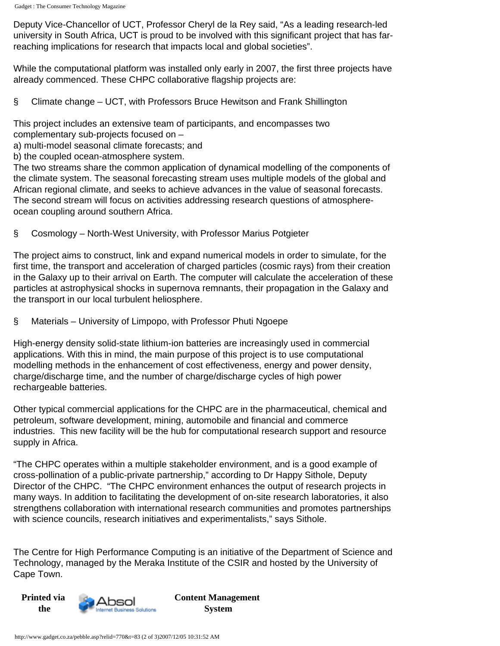Deputy Vice-Chancellor of UCT, Professor Cheryl de la Rey said, "As a leading research-led university in South Africa, UCT is proud to be involved with this significant project that has farreaching implications for research that impacts local and global societies".

While the computational platform was installed only early in 2007, the first three projects have already commenced. These CHPC collaborative flagship projects are:

§ Climate change – UCT, with Professors Bruce Hewitson and Frank Shillington

This project includes an extensive team of participants, and encompasses two complementary sub-projects focused on –

- a) multi-model seasonal climate forecasts; and
- b) the coupled ocean-atmosphere system.

The two streams share the common application of dynamical modelling of the components of the climate system. The seasonal forecasting stream uses multiple models of the global and African regional climate, and seeks to achieve advances in the value of seasonal forecasts. The second stream will focus on activities addressing research questions of atmosphereocean coupling around southern Africa.

§ Cosmology – North-West University, with Professor Marius Potgieter

The project aims to construct, link and expand numerical models in order to simulate, for the first time, the transport and acceleration of charged particles (cosmic rays) from their creation in the Galaxy up to their arrival on Earth. The computer will calculate the acceleration of these particles at astrophysical shocks in supernova remnants, their propagation in the Galaxy and the transport in our local turbulent heliosphere.

§ Materials – University of Limpopo, with Professor Phuti Ngoepe

High-energy density solid-state lithium-ion batteries are increasingly used in commercial applications. With this in mind, the main purpose of this project is to use computational modelling methods in the enhancement of cost effectiveness, energy and power density, charge/discharge time, and the number of charge/discharge cycles of high power rechargeable batteries.

Other typical commercial applications for the CHPC are in the pharmaceutical, chemical and petroleum, software development, mining, automobile and financial and commerce industries. This new facility will be the hub for computational research support and resource supply in Africa.

"The CHPC operates within a multiple stakeholder environment, and is a good example of cross-pollination of a public-private partnership," according to Dr Happy Sithole, Deputy Director of the CHPC. "The CHPC environment enhances the output of research projects in many ways. In addition to facilitating the development of on-site research laboratories, it also strengthens collaboration with international research communities and promotes partnerships with science councils, research initiatives and experimentalists," says Sithole.

The Centre for High Performance Computing is an initiative of the Department of Science and Technology, managed by the Meraka Institute of the CSIR and hosted by the University of Cape Town.